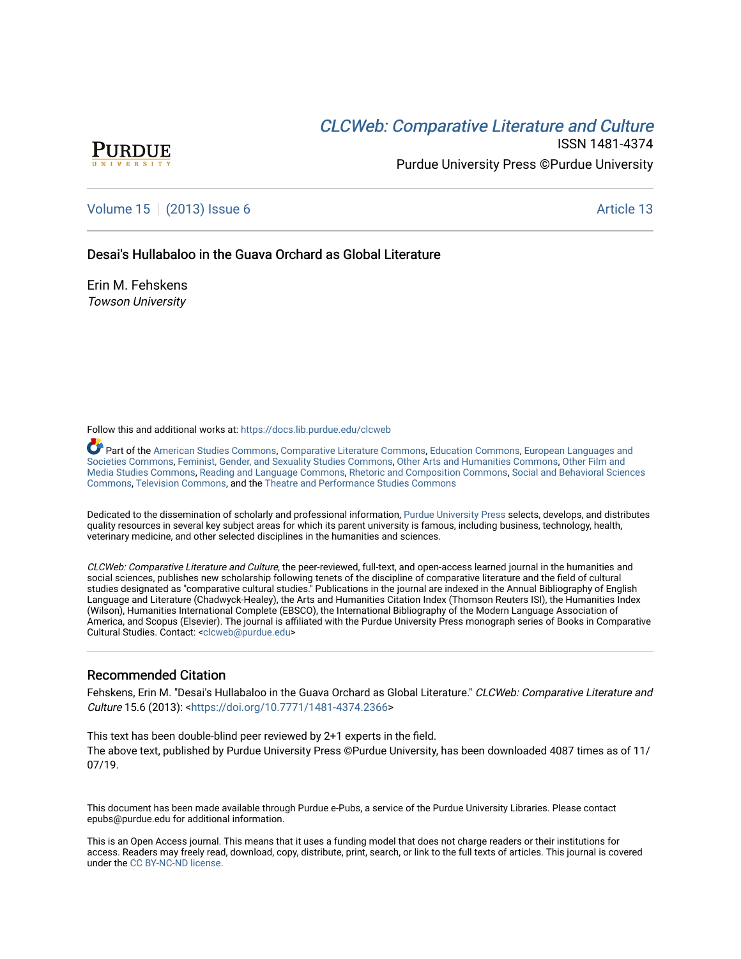# CLCW[eb: Comparative Liter](https://docs.lib.purdue.edu/clcweb)ature and Culture



ISSN 1481-4374 Purdue University Press ©Purdue University

## [Volume 15](https://docs.lib.purdue.edu/clcweb/vol15) | [\(2013\) Issue 6](https://docs.lib.purdue.edu/clcweb/vol15/iss6) Article 13

Desai's Hullabaloo in the Guava Orchard as Global Literature

Erin M. Fehskens Towson University

Follow this and additional works at: [https://docs.lib.purdue.edu/clcweb](https://docs.lib.purdue.edu/clcweb?utm_source=docs.lib.purdue.edu%2Fclcweb%2Fvol15%2Fiss6%2F13&utm_medium=PDF&utm_campaign=PDFCoverPages)

Part of the [American Studies Commons](http://network.bepress.com/hgg/discipline/439?utm_source=docs.lib.purdue.edu%2Fclcweb%2Fvol15%2Fiss6%2F13&utm_medium=PDF&utm_campaign=PDFCoverPages), [Comparative Literature Commons,](http://network.bepress.com/hgg/discipline/454?utm_source=docs.lib.purdue.edu%2Fclcweb%2Fvol15%2Fiss6%2F13&utm_medium=PDF&utm_campaign=PDFCoverPages) [Education Commons,](http://network.bepress.com/hgg/discipline/784?utm_source=docs.lib.purdue.edu%2Fclcweb%2Fvol15%2Fiss6%2F13&utm_medium=PDF&utm_campaign=PDFCoverPages) [European Languages and](http://network.bepress.com/hgg/discipline/482?utm_source=docs.lib.purdue.edu%2Fclcweb%2Fvol15%2Fiss6%2F13&utm_medium=PDF&utm_campaign=PDFCoverPages) [Societies Commons](http://network.bepress.com/hgg/discipline/482?utm_source=docs.lib.purdue.edu%2Fclcweb%2Fvol15%2Fiss6%2F13&utm_medium=PDF&utm_campaign=PDFCoverPages), [Feminist, Gender, and Sexuality Studies Commons,](http://network.bepress.com/hgg/discipline/559?utm_source=docs.lib.purdue.edu%2Fclcweb%2Fvol15%2Fiss6%2F13&utm_medium=PDF&utm_campaign=PDFCoverPages) [Other Arts and Humanities Commons](http://network.bepress.com/hgg/discipline/577?utm_source=docs.lib.purdue.edu%2Fclcweb%2Fvol15%2Fiss6%2F13&utm_medium=PDF&utm_campaign=PDFCoverPages), [Other Film and](http://network.bepress.com/hgg/discipline/565?utm_source=docs.lib.purdue.edu%2Fclcweb%2Fvol15%2Fiss6%2F13&utm_medium=PDF&utm_campaign=PDFCoverPages)  [Media Studies Commons](http://network.bepress.com/hgg/discipline/565?utm_source=docs.lib.purdue.edu%2Fclcweb%2Fvol15%2Fiss6%2F13&utm_medium=PDF&utm_campaign=PDFCoverPages), [Reading and Language Commons](http://network.bepress.com/hgg/discipline/1037?utm_source=docs.lib.purdue.edu%2Fclcweb%2Fvol15%2Fiss6%2F13&utm_medium=PDF&utm_campaign=PDFCoverPages), [Rhetoric and Composition Commons,](http://network.bepress.com/hgg/discipline/573?utm_source=docs.lib.purdue.edu%2Fclcweb%2Fvol15%2Fiss6%2F13&utm_medium=PDF&utm_campaign=PDFCoverPages) [Social and Behavioral Sciences](http://network.bepress.com/hgg/discipline/316?utm_source=docs.lib.purdue.edu%2Fclcweb%2Fvol15%2Fiss6%2F13&utm_medium=PDF&utm_campaign=PDFCoverPages) [Commons,](http://network.bepress.com/hgg/discipline/316?utm_source=docs.lib.purdue.edu%2Fclcweb%2Fvol15%2Fiss6%2F13&utm_medium=PDF&utm_campaign=PDFCoverPages) [Television Commons,](http://network.bepress.com/hgg/discipline/1143?utm_source=docs.lib.purdue.edu%2Fclcweb%2Fvol15%2Fiss6%2F13&utm_medium=PDF&utm_campaign=PDFCoverPages) and the [Theatre and Performance Studies Commons](http://network.bepress.com/hgg/discipline/552?utm_source=docs.lib.purdue.edu%2Fclcweb%2Fvol15%2Fiss6%2F13&utm_medium=PDF&utm_campaign=PDFCoverPages)

Dedicated to the dissemination of scholarly and professional information, [Purdue University Press](http://www.thepress.purdue.edu/) selects, develops, and distributes quality resources in several key subject areas for which its parent university is famous, including business, technology, health, veterinary medicine, and other selected disciplines in the humanities and sciences.

CLCWeb: Comparative Literature and Culture, the peer-reviewed, full-text, and open-access learned journal in the humanities and social sciences, publishes new scholarship following tenets of the discipline of comparative literature and the field of cultural studies designated as "comparative cultural studies." Publications in the journal are indexed in the Annual Bibliography of English Language and Literature (Chadwyck-Healey), the Arts and Humanities Citation Index (Thomson Reuters ISI), the Humanities Index (Wilson), Humanities International Complete (EBSCO), the International Bibliography of the Modern Language Association of America, and Scopus (Elsevier). The journal is affiliated with the Purdue University Press monograph series of Books in Comparative Cultural Studies. Contact: [<clcweb@purdue.edu](mailto:clcweb@purdue.edu)>

### Recommended Citation

Fehskens, Erin M. "Desai's Hullabaloo in the Guava Orchard as Global Literature." CLCWeb: Comparative Literature and Culture 15.6 (2013): <[https://doi.org/10.7771/1481-4374.2366>](https://doi.org/10.7771/1481-4374.2366)

This text has been double-blind peer reviewed by 2+1 experts in the field. The above text, published by Purdue University Press ©Purdue University, has been downloaded 4087 times as of 11/ 07/19.

This document has been made available through Purdue e-Pubs, a service of the Purdue University Libraries. Please contact epubs@purdue.edu for additional information.

This is an Open Access journal. This means that it uses a funding model that does not charge readers or their institutions for access. Readers may freely read, download, copy, distribute, print, search, or link to the full texts of articles. This journal is covered under the [CC BY-NC-ND license.](https://creativecommons.org/licenses/by-nc-nd/4.0/)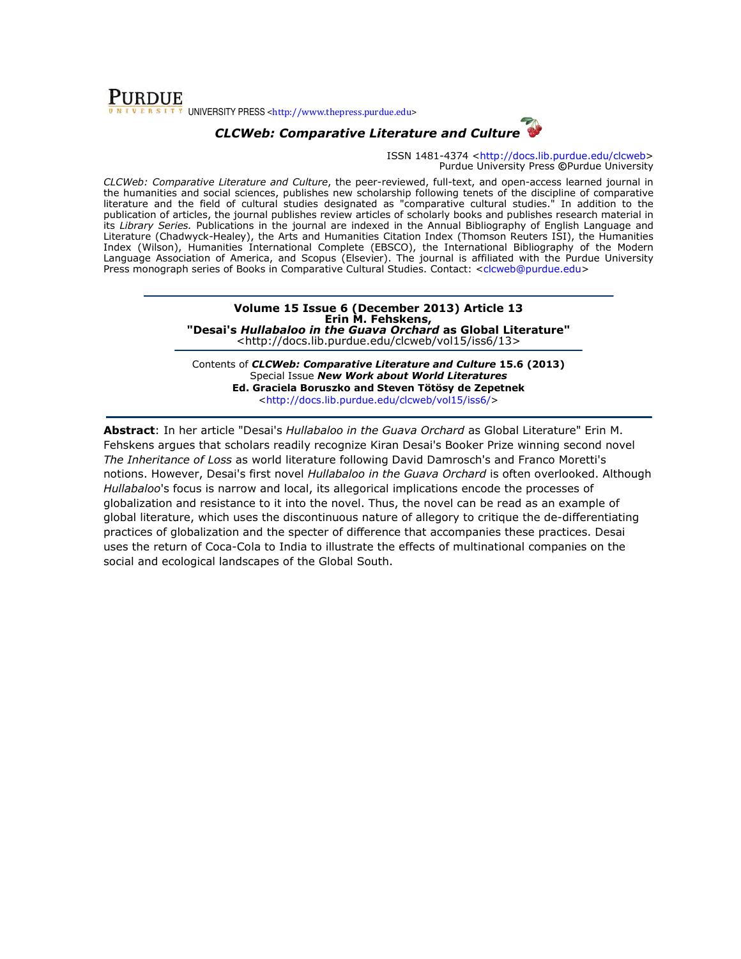### **PURDUE** UNIVERSITY PRESS <http://www.thepress.purdue.edu>

# CLCWeb: Comparative Literature and Culture

ISSN 1481-4374 <http://docs.lib.purdue.edu/clcweb> Purdue University Press ©Purdue University

CLCWeb: Comparative Literature and Culture, the peer-reviewed, full-text, and open-access learned journal in the humanities and social sciences, publishes new scholarship following tenets of the discipline of comparative literature and the field of cultural studies designated as "comparative cultural studies." In addition to the publication of articles, the journal publishes review articles of scholarly books and publishes research material in its Library Series. Publications in the journal are indexed in the Annual Bibliography of English Language and Literature (Chadwyck-Healey), the Arts and Humanities Citation Index (Thomson Reuters ISI), the Humanities Index (Wilson), Humanities International Complete (EBSCO), the International Bibliography of the Modern Language Association of America, and Scopus (Elsevier). The journal is affiliated with the Purdue University Press monograph series of Books in Comparative Cultural Studies. Contact: <clcweb@purdue.edu>

#### Volume 15 Issue 6 (December 2013) Article 13 Erin M. Fehskens, "Desai's Hullabaloo in the Guava Orchard as Global Literature" <http://docs.lib.purdue.edu/clcweb/vol15/iss6/13>

Contents of CLCWeb: Comparative Literature and Culture 15.6 (2013) Special Issue New Work about World Literatures Ed. Graciela Boruszko and Steven Tötösy de Zepetnek <http://docs.lib.purdue.edu/clcweb/vol15/iss6/>

Abstract: In her article "Desai's Hullabaloo in the Guava Orchard as Global Literature" Erin M. Fehskens argues that scholars readily recognize Kiran Desai's Booker Prize winning second novel The Inheritance of Loss as world literature following David Damrosch's and Franco Moretti's notions. However, Desai's first novel Hullabaloo in the Guava Orchard is often overlooked. Although Hullabaloo's focus is narrow and local, its allegorical implications encode the processes of globalization and resistance to it into the novel. Thus, the novel can be read as an example of global literature, which uses the discontinuous nature of allegory to critique the de-differentiating practices of globalization and the specter of difference that accompanies these practices. Desai uses the return of Coca-Cola to India to illustrate the effects of multinational companies on the social and ecological landscapes of the Global South.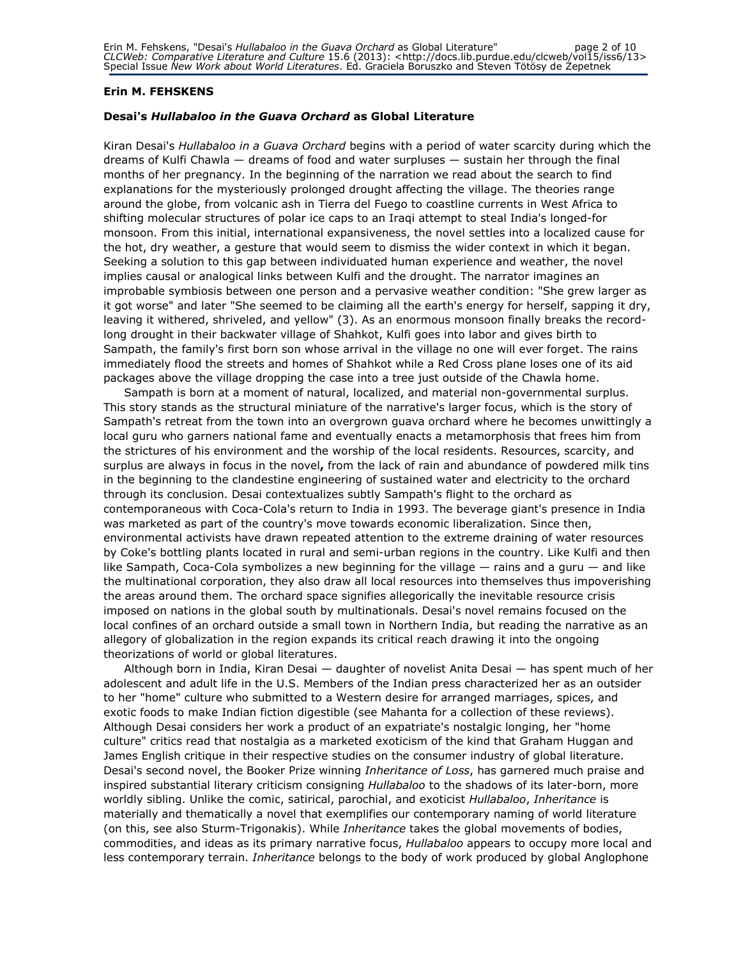#### Erin M. FEHSKENS

#### Desai's Hullabaloo in the Guava Orchard as Global Literature

Kiran Desai's Hullabaloo in a Guava Orchard begins with a period of water scarcity during which the dreams of Kulfi Chawla — dreams of food and water surpluses — sustain her through the final months of her pregnancy. In the beginning of the narration we read about the search to find explanations for the mysteriously prolonged drought affecting the village. The theories range around the globe, from volcanic ash in Tierra del Fuego to coastline currents in West Africa to shifting molecular structures of polar ice caps to an Iraqi attempt to steal India's longed-for monsoon. From this initial, international expansiveness, the novel settles into a localized cause for the hot, dry weather, a gesture that would seem to dismiss the wider context in which it began. Seeking a solution to this gap between individuated human experience and weather, the novel implies causal or analogical links between Kulfi and the drought. The narrator imagines an improbable symbiosis between one person and a pervasive weather condition: "She grew larger as it got worse" and later "She seemed to be claiming all the earth's energy for herself, sapping it dry, leaving it withered, shriveled, and yellow" (3). As an enormous monsoon finally breaks the recordlong drought in their backwater village of Shahkot, Kulfi goes into labor and gives birth to Sampath, the family's first born son whose arrival in the village no one will ever forget. The rains immediately flood the streets and homes of Shahkot while a Red Cross plane loses one of its aid packages above the village dropping the case into a tree just outside of the Chawla home.

Sampath is born at a moment of natural, localized, and material non-governmental surplus. This story stands as the structural miniature of the narrative's larger focus, which is the story of Sampath's retreat from the town into an overgrown guava orchard where he becomes unwittingly a local guru who garners national fame and eventually enacts a metamorphosis that frees him from the strictures of his environment and the worship of the local residents. Resources, scarcity, and surplus are always in focus in the novel, from the lack of rain and abundance of powdered milk tins in the beginning to the clandestine engineering of sustained water and electricity to the orchard through its conclusion. Desai contextualizes subtly Sampath's flight to the orchard as contemporaneous with Coca-Cola's return to India in 1993. The beverage giant's presence in India was marketed as part of the country's move towards economic liberalization. Since then, environmental activists have drawn repeated attention to the extreme draining of water resources by Coke's bottling plants located in rural and semi-urban regions in the country. Like Kulfi and then like Sampath, Coca-Cola symbolizes a new beginning for the village  $-$  rains and a guru  $-$  and like the multinational corporation, they also draw all local resources into themselves thus impoverishing the areas around them. The orchard space signifies allegorically the inevitable resource crisis imposed on nations in the global south by multinationals. Desai's novel remains focused on the local confines of an orchard outside a small town in Northern India, but reading the narrative as an allegory of globalization in the region expands its critical reach drawing it into the ongoing theorizations of world or global literatures.

Although born in India, Kiran Desai — daughter of novelist Anita Desai — has spent much of her adolescent and adult life in the U.S. Members of the Indian press characterized her as an outsider to her "home" culture who submitted to a Western desire for arranged marriages, spices, and exotic foods to make Indian fiction digestible (see Mahanta for a collection of these reviews). Although Desai considers her work a product of an expatriate's nostalgic longing, her "home culture" critics read that nostalgia as a marketed exoticism of the kind that Graham Huggan and James English critique in their respective studies on the consumer industry of global literature. Desai's second novel, the Booker Prize winning Inheritance of Loss, has garnered much praise and inspired substantial literary criticism consigning Hullabaloo to the shadows of its later-born, more worldly sibling. Unlike the comic, satirical, parochial, and exoticist Hullabaloo, Inheritance is materially and thematically a novel that exemplifies our contemporary naming of world literature (on this, see also Sturm-Trigonakis). While Inheritance takes the global movements of bodies, commodities, and ideas as its primary narrative focus, Hullabaloo appears to occupy more local and less contemporary terrain. *Inheritance* belongs to the body of work produced by global Anglophone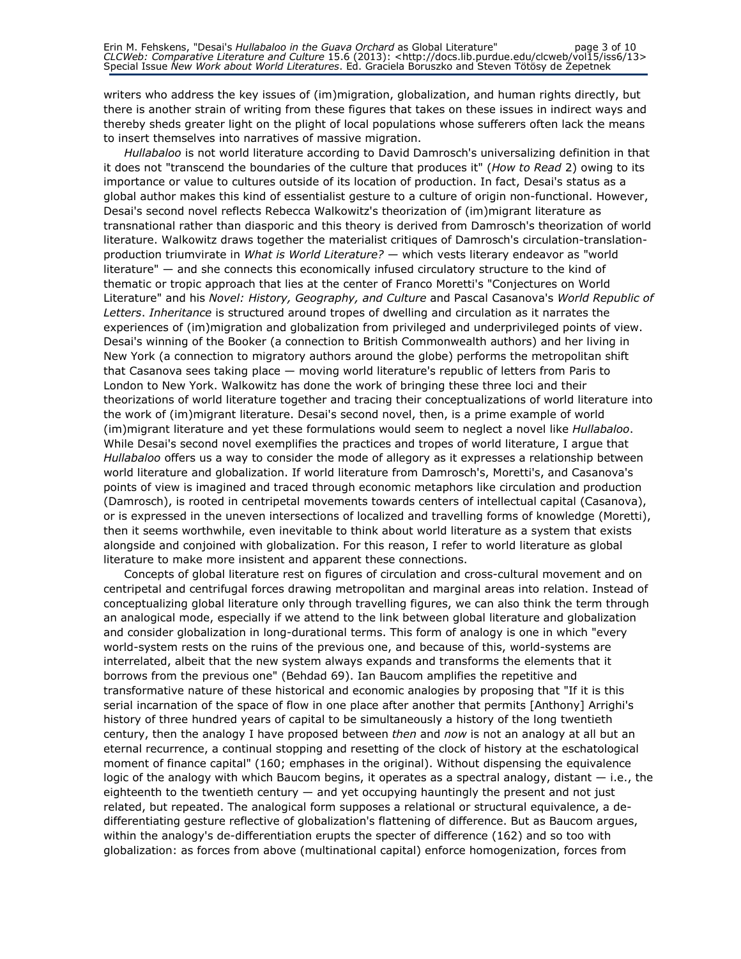writers who address the key issues of (im)migration, globalization, and human rights directly, but there is another strain of writing from these figures that takes on these issues in indirect ways and thereby sheds greater light on the plight of local populations whose sufferers often lack the means to insert themselves into narratives of massive migration.

Hullabaloo is not world literature according to David Damrosch's universalizing definition in that it does not "transcend the boundaries of the culture that produces it" (How to Read 2) owing to its importance or value to cultures outside of its location of production. In fact, Desai's status as a global author makes this kind of essentialist gesture to a culture of origin non-functional. However, Desai's second novel reflects Rebecca Walkowitz's theorization of (im)migrant literature as transnational rather than diasporic and this theory is derived from Damrosch's theorization of world literature. Walkowitz draws together the materialist critiques of Damrosch's circulation-translationproduction triumvirate in What is World Literature? — which vests literary endeavor as "world literature" — and she connects this economically infused circulatory structure to the kind of thematic or tropic approach that lies at the center of Franco Moretti's "Conjectures on World Literature" and his Novel: History, Geography, and Culture and Pascal Casanova's World Republic of Letters. Inheritance is structured around tropes of dwelling and circulation as it narrates the experiences of (im)migration and globalization from privileged and underprivileged points of view. Desai's winning of the Booker (a connection to British Commonwealth authors) and her living in New York (a connection to migratory authors around the globe) performs the metropolitan shift that Casanova sees taking place — moving world literature's republic of letters from Paris to London to New York. Walkowitz has done the work of bringing these three loci and their theorizations of world literature together and tracing their conceptualizations of world literature into the work of (im)migrant literature. Desai's second novel, then, is a prime example of world (im)migrant literature and yet these formulations would seem to neglect a novel like Hullabaloo. While Desai's second novel exemplifies the practices and tropes of world literature, I argue that Hullabaloo offers us a way to consider the mode of allegory as it expresses a relationship between world literature and globalization. If world literature from Damrosch's, Moretti's, and Casanova's points of view is imagined and traced through economic metaphors like circulation and production (Damrosch), is rooted in centripetal movements towards centers of intellectual capital (Casanova), or is expressed in the uneven intersections of localized and travelling forms of knowledge (Moretti), then it seems worthwhile, even inevitable to think about world literature as a system that exists alongside and conjoined with globalization. For this reason, I refer to world literature as global literature to make more insistent and apparent these connections.

Concepts of global literature rest on figures of circulation and cross-cultural movement and on centripetal and centrifugal forces drawing metropolitan and marginal areas into relation. Instead of conceptualizing global literature only through travelling figures, we can also think the term through an analogical mode, especially if we attend to the link between global literature and globalization and consider globalization in long-durational terms. This form of analogy is one in which "every world-system rests on the ruins of the previous one, and because of this, world-systems are interrelated, albeit that the new system always expands and transforms the elements that it borrows from the previous one" (Behdad 69). Ian Baucom amplifies the repetitive and transformative nature of these historical and economic analogies by proposing that "If it is this serial incarnation of the space of flow in one place after another that permits [Anthony] Arrighi's history of three hundred years of capital to be simultaneously a history of the long twentieth century, then the analogy I have proposed between *then* and *now* is not an analogy at all but an eternal recurrence, a continual stopping and resetting of the clock of history at the eschatological moment of finance capital" (160; emphases in the original). Without dispensing the equivalence logic of the analogy with which Baucom begins, it operates as a spectral analogy, distant — i.e., the eighteenth to the twentieth century — and yet occupying hauntingly the present and not just related, but repeated. The analogical form supposes a relational or structural equivalence, a dedifferentiating gesture reflective of globalization's flattening of difference. But as Baucom argues, within the analogy's de-differentiation erupts the specter of difference (162) and so too with globalization: as forces from above (multinational capital) enforce homogenization, forces from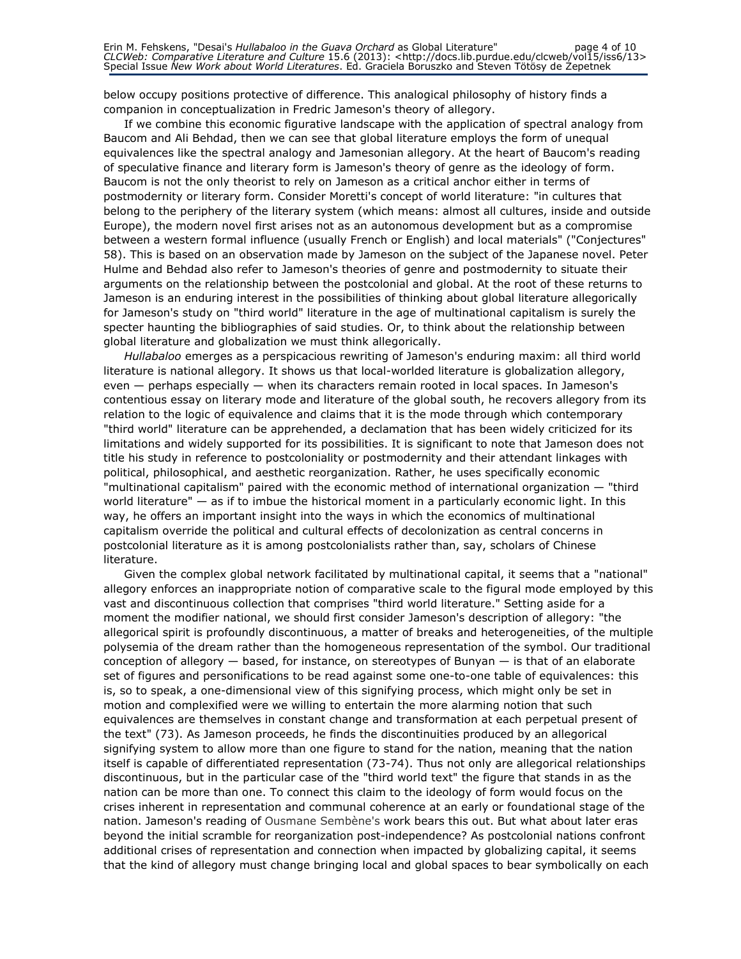below occupy positions protective of difference. This analogical philosophy of history finds a companion in conceptualization in Fredric Jameson's theory of allegory.

If we combine this economic figurative landscape with the application of spectral analogy from Baucom and Ali Behdad, then we can see that global literature employs the form of unequal equivalences like the spectral analogy and Jamesonian allegory. At the heart of Baucom's reading of speculative finance and literary form is Jameson's theory of genre as the ideology of form. Baucom is not the only theorist to rely on Jameson as a critical anchor either in terms of postmodernity or literary form. Consider Moretti's concept of world literature: "in cultures that belong to the periphery of the literary system (which means: almost all cultures, inside and outside Europe), the modern novel first arises not as an autonomous development but as a compromise between a western formal influence (usually French or English) and local materials" ("Conjectures" 58). This is based on an observation made by Jameson on the subject of the Japanese novel. Peter Hulme and Behdad also refer to Jameson's theories of genre and postmodernity to situate their arguments on the relationship between the postcolonial and global. At the root of these returns to Jameson is an enduring interest in the possibilities of thinking about global literature allegorically for Jameson's study on "third world" literature in the age of multinational capitalism is surely the specter haunting the bibliographies of said studies. Or, to think about the relationship between global literature and globalization we must think allegorically.

Hullabaloo emerges as a perspicacious rewriting of Jameson's enduring maxim: all third world literature is national allegory. It shows us that local-worlded literature is globalization allegory, even — perhaps especially — when its characters remain rooted in local spaces. In Jameson's contentious essay on literary mode and literature of the global south, he recovers allegory from its relation to the logic of equivalence and claims that it is the mode through which contemporary "third world" literature can be apprehended, a declamation that has been widely criticized for its limitations and widely supported for its possibilities. It is significant to note that Jameson does not title his study in reference to postcoloniality or postmodernity and their attendant linkages with political, philosophical, and aesthetic reorganization. Rather, he uses specifically economic "multinational capitalism" paired with the economic method of international organization — "third world literature" — as if to imbue the historical moment in a particularly economic light. In this way, he offers an important insight into the ways in which the economics of multinational capitalism override the political and cultural effects of decolonization as central concerns in postcolonial literature as it is among postcolonialists rather than, say, scholars of Chinese literature.

Given the complex global network facilitated by multinational capital, it seems that a "national" allegory enforces an inappropriate notion of comparative scale to the figural mode employed by this vast and discontinuous collection that comprises "third world literature." Setting aside for a moment the modifier national, we should first consider Jameson's description of allegory: "the allegorical spirit is profoundly discontinuous, a matter of breaks and heterogeneities, of the multiple polysemia of the dream rather than the homogeneous representation of the symbol. Our traditional conception of allegory — based, for instance, on stereotypes of Bunyan — is that of an elaborate set of figures and personifications to be read against some one-to-one table of equivalences: this is, so to speak, a one-dimensional view of this signifying process, which might only be set in motion and complexified were we willing to entertain the more alarming notion that such equivalences are themselves in constant change and transformation at each perpetual present of the text" (73). As Jameson proceeds, he finds the discontinuities produced by an allegorical signifying system to allow more than one figure to stand for the nation, meaning that the nation itself is capable of differentiated representation (73-74). Thus not only are allegorical relationships discontinuous, but in the particular case of the "third world text" the figure that stands in as the nation can be more than one. To connect this claim to the ideology of form would focus on the crises inherent in representation and communal coherence at an early or foundational stage of the nation. Jameson's reading of Ousmane Sembène's work bears this out. But what about later eras beyond the initial scramble for reorganization post-independence? As postcolonial nations confront additional crises of representation and connection when impacted by globalizing capital, it seems that the kind of allegory must change bringing local and global spaces to bear symbolically on each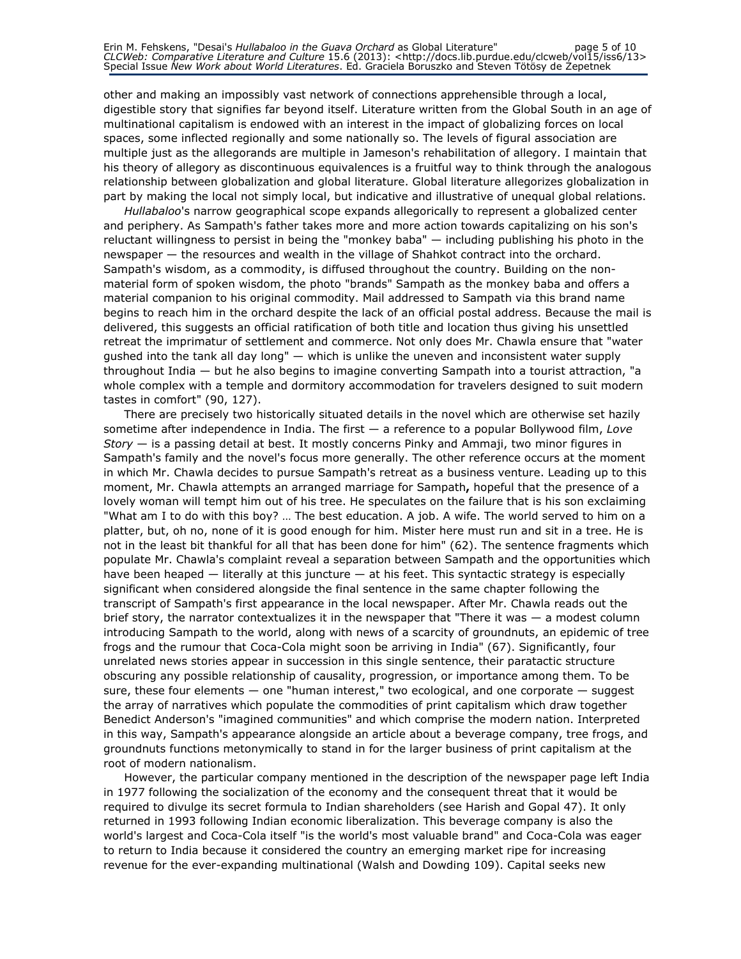other and making an impossibly vast network of connections apprehensible through a local, digestible story that signifies far beyond itself. Literature written from the Global South in an age of multinational capitalism is endowed with an interest in the impact of globalizing forces on local spaces, some inflected regionally and some nationally so. The levels of figural association are multiple just as the allegorands are multiple in Jameson's rehabilitation of allegory. I maintain that his theory of allegory as discontinuous equivalences is a fruitful way to think through the analogous relationship between globalization and global literature. Global literature allegorizes globalization in part by making the local not simply local, but indicative and illustrative of unequal global relations.

Hullabaloo's narrow geographical scope expands allegorically to represent a globalized center and periphery. As Sampath's father takes more and more action towards capitalizing on his son's reluctant willingness to persist in being the "monkey baba" — including publishing his photo in the newspaper — the resources and wealth in the village of Shahkot contract into the orchard. Sampath's wisdom, as a commodity, is diffused throughout the country. Building on the nonmaterial form of spoken wisdom, the photo "brands" Sampath as the monkey baba and offers a material companion to his original commodity. Mail addressed to Sampath via this brand name begins to reach him in the orchard despite the lack of an official postal address. Because the mail is delivered, this suggests an official ratification of both title and location thus giving his unsettled retreat the imprimatur of settlement and commerce. Not only does Mr. Chawla ensure that "water gushed into the tank all day long" — which is unlike the uneven and inconsistent water supply throughout India — but he also begins to imagine converting Sampath into a tourist attraction, "a whole complex with a temple and dormitory accommodation for travelers designed to suit modern tastes in comfort" (90, 127).

There are precisely two historically situated details in the novel which are otherwise set hazily sometime after independence in India. The first  $-$  a reference to a popular Bollywood film, Love  $Story -$  is a passing detail at best. It mostly concerns Pinky and Ammaji, two minor figures in Sampath's family and the novel's focus more generally. The other reference occurs at the moment in which Mr. Chawla decides to pursue Sampath's retreat as a business venture. Leading up to this moment, Mr. Chawla attempts an arranged marriage for Sampath, hopeful that the presence of a lovely woman will tempt him out of his tree. He speculates on the failure that is his son exclaiming "What am I to do with this boy? … The best education. A job. A wife. The world served to him on a platter, but, oh no, none of it is good enough for him. Mister here must run and sit in a tree. He is not in the least bit thankful for all that has been done for him" (62). The sentence fragments which populate Mr. Chawla's complaint reveal a separation between Sampath and the opportunities which have been heaped  $-$  literally at this juncture  $-$  at his feet. This syntactic strategy is especially significant when considered alongside the final sentence in the same chapter following the transcript of Sampath's first appearance in the local newspaper. After Mr. Chawla reads out the brief story, the narrator contextualizes it in the newspaper that "There it was — a modest column introducing Sampath to the world, along with news of a scarcity of groundnuts, an epidemic of tree frogs and the rumour that Coca-Cola might soon be arriving in India" (67). Significantly, four unrelated news stories appear in succession in this single sentence, their paratactic structure obscuring any possible relationship of causality, progression, or importance among them. To be sure, these four elements — one "human interest," two ecological, and one corporate — suggest the array of narratives which populate the commodities of print capitalism which draw together Benedict Anderson's "imagined communities" and which comprise the modern nation. Interpreted in this way, Sampath's appearance alongside an article about a beverage company, tree frogs, and groundnuts functions metonymically to stand in for the larger business of print capitalism at the root of modern nationalism.

However, the particular company mentioned in the description of the newspaper page left India in 1977 following the socialization of the economy and the consequent threat that it would be required to divulge its secret formula to Indian shareholders (see Harish and Gopal 47). It only returned in 1993 following Indian economic liberalization. This beverage company is also the world's largest and Coca-Cola itself "is the world's most valuable brand" and Coca-Cola was eager to return to India because it considered the country an emerging market ripe for increasing revenue for the ever-expanding multinational (Walsh and Dowding 109). Capital seeks new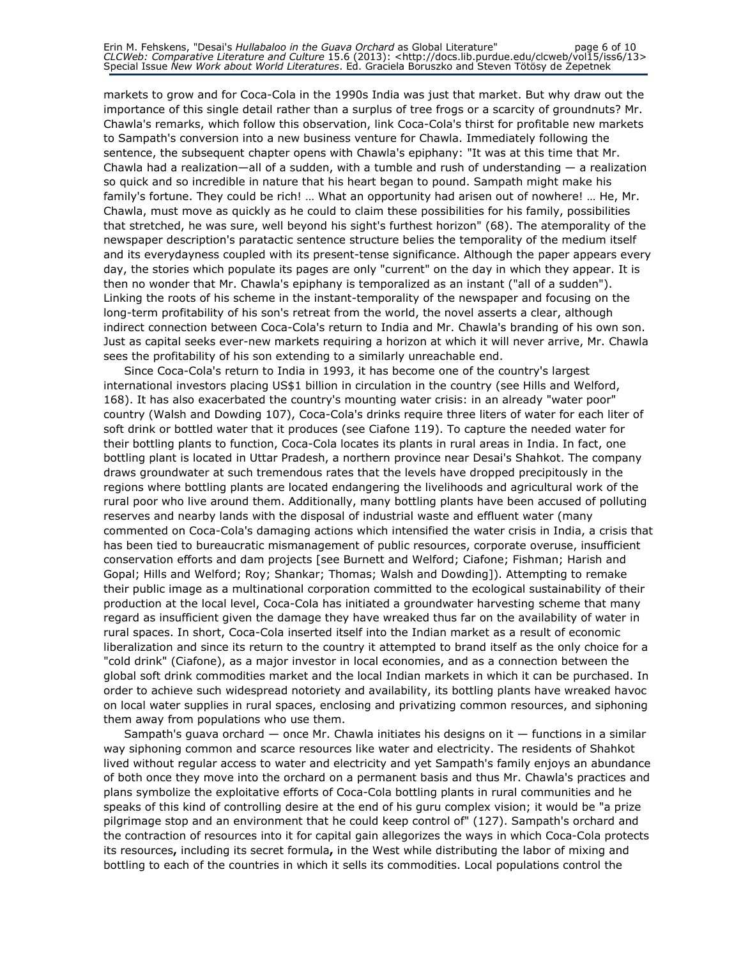markets to grow and for Coca-Cola in the 1990s India was just that market. But why draw out the importance of this single detail rather than a surplus of tree frogs or a scarcity of groundnuts? Mr. Chawla's remarks, which follow this observation, link Coca-Cola's thirst for profitable new markets to Sampath's conversion into a new business venture for Chawla. Immediately following the sentence, the subsequent chapter opens with Chawla's epiphany: "It was at this time that Mr. Chawla had a realization—all of a sudden, with a tumble and rush of understanding  $-$  a realization so quick and so incredible in nature that his heart began to pound. Sampath might make his family's fortune. They could be rich! … What an opportunity had arisen out of nowhere! … He, Mr. Chawla, must move as quickly as he could to claim these possibilities for his family, possibilities that stretched, he was sure, well beyond his sight's furthest horizon" (68). The atemporality of the newspaper description's paratactic sentence structure belies the temporality of the medium itself and its everydayness coupled with its present-tense significance. Although the paper appears every day, the stories which populate its pages are only "current" on the day in which they appear. It is then no wonder that Mr. Chawla's epiphany is temporalized as an instant ("all of a sudden"). Linking the roots of his scheme in the instant-temporality of the newspaper and focusing on the long-term profitability of his son's retreat from the world, the novel asserts a clear, although indirect connection between Coca-Cola's return to India and Mr. Chawla's branding of his own son. Just as capital seeks ever-new markets requiring a horizon at which it will never arrive, Mr. Chawla sees the profitability of his son extending to a similarly unreachable end.

Since Coca-Cola's return to India in 1993, it has become one of the country's largest international investors placing US\$1 billion in circulation in the country (see Hills and Welford, 168). It has also exacerbated the country's mounting water crisis: in an already "water poor" country (Walsh and Dowding 107), Coca-Cola's drinks require three liters of water for each liter of soft drink or bottled water that it produces (see Ciafone 119). To capture the needed water for their bottling plants to function, Coca-Cola locates its plants in rural areas in India. In fact, one bottling plant is located in Uttar Pradesh, a northern province near Desai's Shahkot. The company draws groundwater at such tremendous rates that the levels have dropped precipitously in the regions where bottling plants are located endangering the livelihoods and agricultural work of the rural poor who live around them. Additionally, many bottling plants have been accused of polluting reserves and nearby lands with the disposal of industrial waste and effluent water (many commented on Coca-Cola's damaging actions which intensified the water crisis in India, a crisis that has been tied to bureaucratic mismanagement of public resources, corporate overuse, insufficient conservation efforts and dam projects [see Burnett and Welford; Ciafone; Fishman; Harish and Gopal; Hills and Welford; Roy; Shankar; Thomas; Walsh and Dowding]). Attempting to remake their public image as a multinational corporation committed to the ecological sustainability of their production at the local level, Coca-Cola has initiated a groundwater harvesting scheme that many regard as insufficient given the damage they have wreaked thus far on the availability of water in rural spaces. In short, Coca-Cola inserted itself into the Indian market as a result of economic liberalization and since its return to the country it attempted to brand itself as the only choice for a "cold drink" (Ciafone), as a major investor in local economies, and as a connection between the global soft drink commodities market and the local Indian markets in which it can be purchased. In order to achieve such widespread notoriety and availability, its bottling plants have wreaked havoc on local water supplies in rural spaces, enclosing and privatizing common resources, and siphoning them away from populations who use them.

Sampath's guava orchard  $-$  once Mr. Chawla initiates his designs on it  $-$  functions in a similar way siphoning common and scarce resources like water and electricity. The residents of Shahkot lived without regular access to water and electricity and yet Sampath's family enjoys an abundance of both once they move into the orchard on a permanent basis and thus Mr. Chawla's practices and plans symbolize the exploitative efforts of Coca-Cola bottling plants in rural communities and he speaks of this kind of controlling desire at the end of his guru complex vision; it would be "a prize pilgrimage stop and an environment that he could keep control of" (127). Sampath's orchard and the contraction of resources into it for capital gain allegorizes the ways in which Coca-Cola protects its resources, including its secret formula, in the West while distributing the labor of mixing and bottling to each of the countries in which it sells its commodities. Local populations control the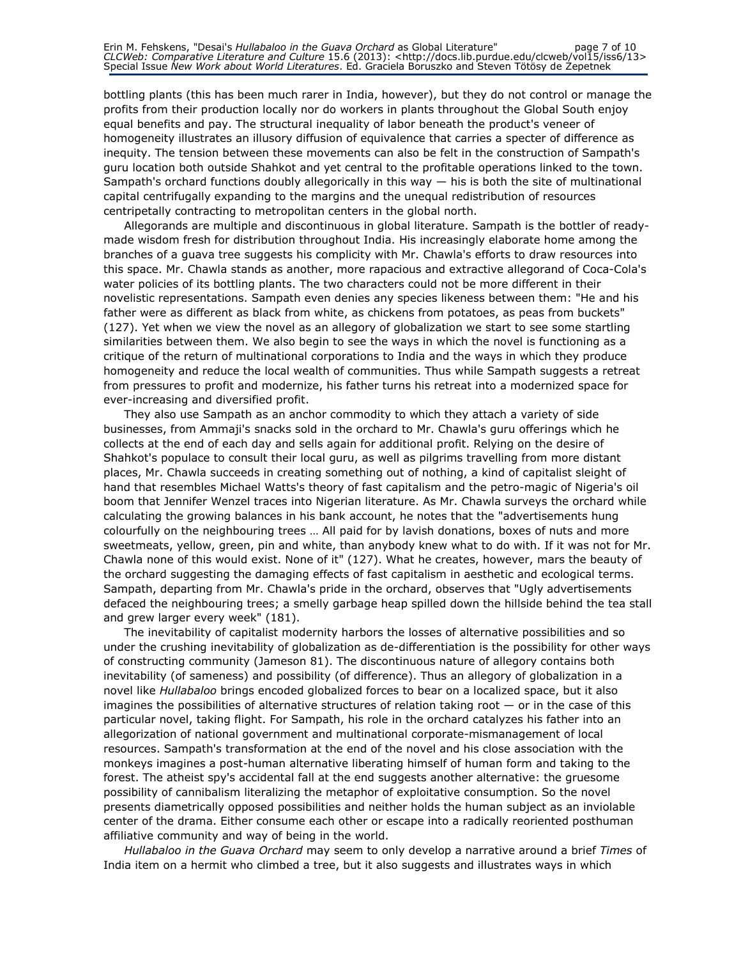bottling plants (this has been much rarer in India, however), but they do not control or manage the profits from their production locally nor do workers in plants throughout the Global South enjoy equal benefits and pay. The structural inequality of labor beneath the product's veneer of homogeneity illustrates an illusory diffusion of equivalence that carries a specter of difference as inequity. The tension between these movements can also be felt in the construction of Sampath's guru location both outside Shahkot and yet central to the profitable operations linked to the town. Sampath's orchard functions doubly allegorically in this way  $-$  his is both the site of multinational capital centrifugally expanding to the margins and the unequal redistribution of resources centripetally contracting to metropolitan centers in the global north.

Allegorands are multiple and discontinuous in global literature. Sampath is the bottler of readymade wisdom fresh for distribution throughout India. His increasingly elaborate home among the branches of a guava tree suggests his complicity with Mr. Chawla's efforts to draw resources into this space. Mr. Chawla stands as another, more rapacious and extractive allegorand of Coca-Cola's water policies of its bottling plants. The two characters could not be more different in their novelistic representations. Sampath even denies any species likeness between them: "He and his father were as different as black from white, as chickens from potatoes, as peas from buckets" (127). Yet when we view the novel as an allegory of globalization we start to see some startling similarities between them. We also begin to see the ways in which the novel is functioning as a critique of the return of multinational corporations to India and the ways in which they produce homogeneity and reduce the local wealth of communities. Thus while Sampath suggests a retreat from pressures to profit and modernize, his father turns his retreat into a modernized space for ever-increasing and diversified profit.

They also use Sampath as an anchor commodity to which they attach a variety of side businesses, from Ammaji's snacks sold in the orchard to Mr. Chawla's guru offerings which he collects at the end of each day and sells again for additional profit. Relying on the desire of Shahkot's populace to consult their local guru, as well as pilgrims travelling from more distant places, Mr. Chawla succeeds in creating something out of nothing, a kind of capitalist sleight of hand that resembles Michael Watts's theory of fast capitalism and the petro-magic of Nigeria's oil boom that Jennifer Wenzel traces into Nigerian literature. As Mr. Chawla surveys the orchard while calculating the growing balances in his bank account, he notes that the "advertisements hung colourfully on the neighbouring trees … All paid for by lavish donations, boxes of nuts and more sweetmeats, yellow, green, pin and white, than anybody knew what to do with. If it was not for Mr. Chawla none of this would exist. None of it" (127). What he creates, however, mars the beauty of the orchard suggesting the damaging effects of fast capitalism in aesthetic and ecological terms. Sampath, departing from Mr. Chawla's pride in the orchard, observes that "Ugly advertisements defaced the neighbouring trees; a smelly garbage heap spilled down the hillside behind the tea stall and grew larger every week" (181).

The inevitability of capitalist modernity harbors the losses of alternative possibilities and so under the crushing inevitability of globalization as de-differentiation is the possibility for other ways of constructing community (Jameson 81). The discontinuous nature of allegory contains both inevitability (of sameness) and possibility (of difference). Thus an allegory of globalization in a novel like Hullabaloo brings encoded globalized forces to bear on a localized space, but it also imagines the possibilities of alternative structures of relation taking root  $-$  or in the case of this particular novel, taking flight. For Sampath, his role in the orchard catalyzes his father into an allegorization of national government and multinational corporate-mismanagement of local resources. Sampath's transformation at the end of the novel and his close association with the monkeys imagines a post-human alternative liberating himself of human form and taking to the forest. The atheist spy's accidental fall at the end suggests another alternative: the gruesome possibility of cannibalism literalizing the metaphor of exploitative consumption. So the novel presents diametrically opposed possibilities and neither holds the human subject as an inviolable center of the drama. Either consume each other or escape into a radically reoriented posthuman affiliative community and way of being in the world.

Hullabaloo in the Guava Orchard may seem to only develop a narrative around a brief Times of India item on a hermit who climbed a tree, but it also suggests and illustrates ways in which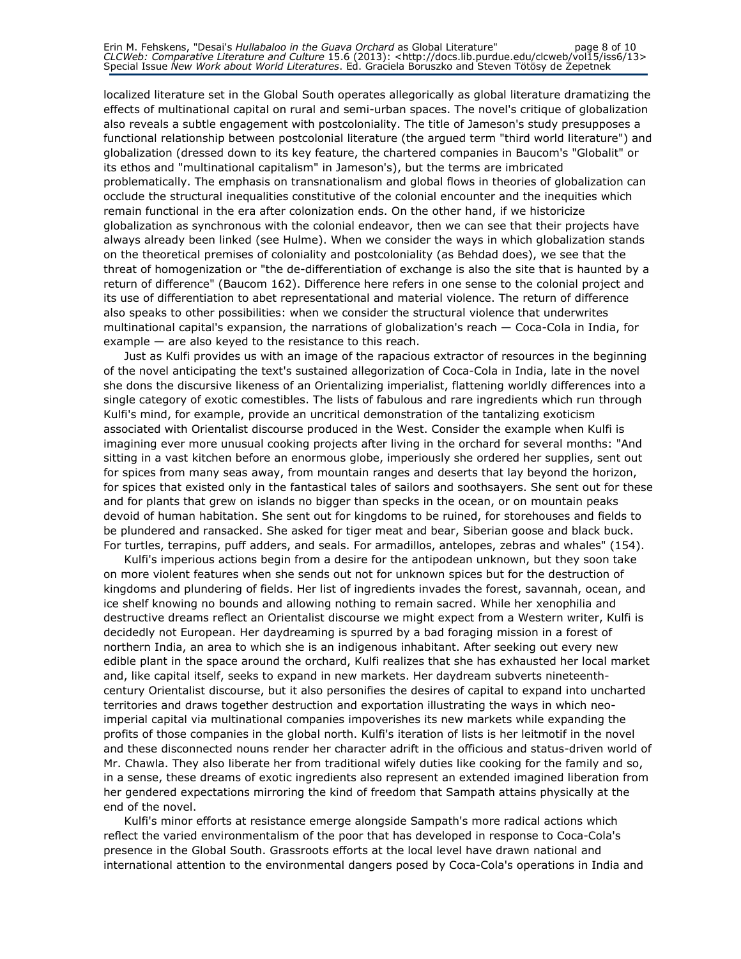localized literature set in the Global South operates allegorically as global literature dramatizing the effects of multinational capital on rural and semi-urban spaces. The novel's critique of globalization also reveals a subtle engagement with postcoloniality. The title of Jameson's study presupposes a functional relationship between postcolonial literature (the argued term "third world literature") and globalization (dressed down to its key feature, the chartered companies in Baucom's "Globalit" or its ethos and "multinational capitalism" in Jameson's), but the terms are imbricated problematically. The emphasis on transnationalism and global flows in theories of globalization can occlude the structural inequalities constitutive of the colonial encounter and the inequities which remain functional in the era after colonization ends. On the other hand, if we historicize globalization as synchronous with the colonial endeavor, then we can see that their projects have always already been linked (see Hulme). When we consider the ways in which globalization stands on the theoretical premises of coloniality and postcoloniality (as Behdad does), we see that the threat of homogenization or "the de-differentiation of exchange is also the site that is haunted by a return of difference" (Baucom 162). Difference here refers in one sense to the colonial project and its use of differentiation to abet representational and material violence. The return of difference also speaks to other possibilities: when we consider the structural violence that underwrites multinational capital's expansion, the narrations of globalization's reach — Coca-Cola in India, for example — are also keyed to the resistance to this reach.

Just as Kulfi provides us with an image of the rapacious extractor of resources in the beginning of the novel anticipating the text's sustained allegorization of Coca-Cola in India, late in the novel she dons the discursive likeness of an Orientalizing imperialist, flattening worldly differences into a single category of exotic comestibles. The lists of fabulous and rare ingredients which run through Kulfi's mind, for example, provide an uncritical demonstration of the tantalizing exoticism associated with Orientalist discourse produced in the West. Consider the example when Kulfi is imagining ever more unusual cooking projects after living in the orchard for several months: "And sitting in a vast kitchen before an enormous globe, imperiously she ordered her supplies, sent out for spices from many seas away, from mountain ranges and deserts that lay beyond the horizon, for spices that existed only in the fantastical tales of sailors and soothsayers. She sent out for these and for plants that grew on islands no bigger than specks in the ocean, or on mountain peaks devoid of human habitation. She sent out for kingdoms to be ruined, for storehouses and fields to be plundered and ransacked. She asked for tiger meat and bear, Siberian goose and black buck. For turtles, terrapins, puff adders, and seals. For armadillos, antelopes, zebras and whales" (154).

Kulfi's imperious actions begin from a desire for the antipodean unknown, but they soon take on more violent features when she sends out not for unknown spices but for the destruction of kingdoms and plundering of fields. Her list of ingredients invades the forest, savannah, ocean, and ice shelf knowing no bounds and allowing nothing to remain sacred. While her xenophilia and destructive dreams reflect an Orientalist discourse we might expect from a Western writer, Kulfi is decidedly not European. Her daydreaming is spurred by a bad foraging mission in a forest of northern India, an area to which she is an indigenous inhabitant. After seeking out every new edible plant in the space around the orchard, Kulfi realizes that she has exhausted her local market and, like capital itself, seeks to expand in new markets. Her daydream subverts nineteenthcentury Orientalist discourse, but it also personifies the desires of capital to expand into uncharted territories and draws together destruction and exportation illustrating the ways in which neoimperial capital via multinational companies impoverishes its new markets while expanding the profits of those companies in the global north. Kulfi's iteration of lists is her leitmotif in the novel and these disconnected nouns render her character adrift in the officious and status-driven world of Mr. Chawla. They also liberate her from traditional wifely duties like cooking for the family and so, in a sense, these dreams of exotic ingredients also represent an extended imagined liberation from her gendered expectations mirroring the kind of freedom that Sampath attains physically at the end of the novel.

Kulfi's minor efforts at resistance emerge alongside Sampath's more radical actions which reflect the varied environmentalism of the poor that has developed in response to Coca-Cola's presence in the Global South. Grassroots efforts at the local level have drawn national and international attention to the environmental dangers posed by Coca-Cola's operations in India and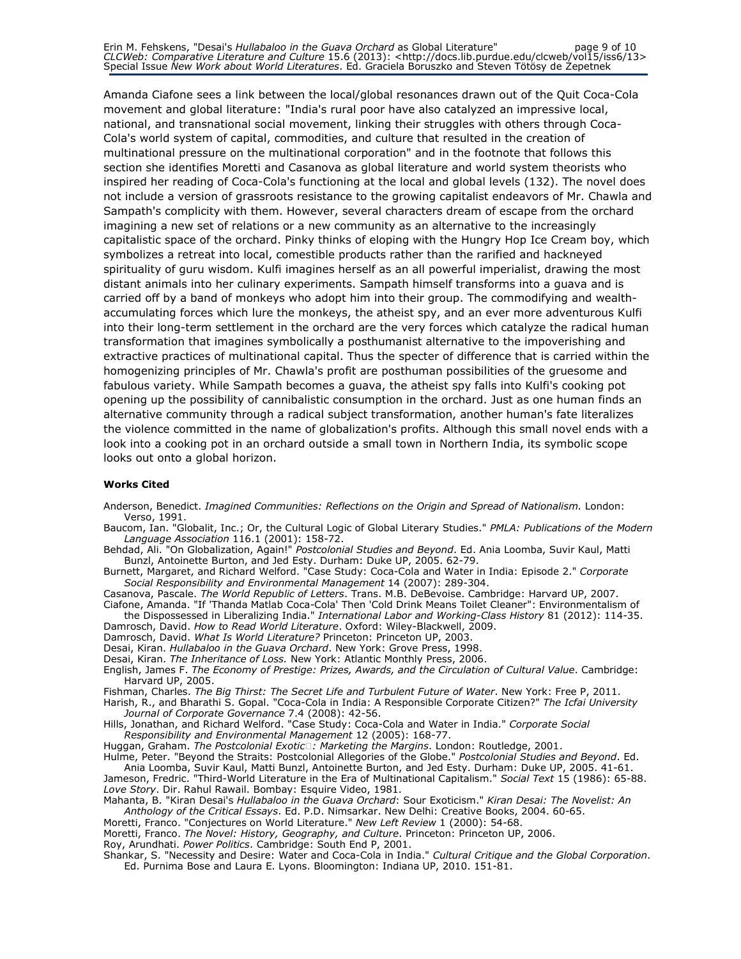Erin M. Fehskens, "Desai's *Hullabaloo in the Guava Orchard* as Global Literature" page 9 of 10 CLCWeb: Comparative Literature and Culture 15.6 (2013): <http://docs.lib.purdue.edu/clcweb/vol15/iss6/13> Special Issue New Work about World Literatures. Ed. Graciela Boruszko and Steven Tötösy de Zepetnek

Amanda Ciafone sees a link between the local/global resonances drawn out of the Quit Coca-Cola movement and global literature: "India's rural poor have also catalyzed an impressive local, national, and transnational social movement, linking their struggles with others through Coca-Cola's world system of capital, commodities, and culture that resulted in the creation of multinational pressure on the multinational corporation" and in the footnote that follows this section she identifies Moretti and Casanova as global literature and world system theorists who inspired her reading of Coca-Cola's functioning at the local and global levels (132). The novel does not include a version of grassroots resistance to the growing capitalist endeavors of Mr. Chawla and Sampath's complicity with them. However, several characters dream of escape from the orchard imagining a new set of relations or a new community as an alternative to the increasingly capitalistic space of the orchard. Pinky thinks of eloping with the Hungry Hop Ice Cream boy, which symbolizes a retreat into local, comestible products rather than the rarified and hackneyed spirituality of guru wisdom. Kulfi imagines herself as an all powerful imperialist, drawing the most distant animals into her culinary experiments. Sampath himself transforms into a guava and is carried off by a band of monkeys who adopt him into their group. The commodifying and wealthaccumulating forces which lure the monkeys, the atheist spy, and an ever more adventurous Kulfi into their long-term settlement in the orchard are the very forces which catalyze the radical human transformation that imagines symbolically a posthumanist alternative to the impoverishing and extractive practices of multinational capital. Thus the specter of difference that is carried within the homogenizing principles of Mr. Chawla's profit are posthuman possibilities of the gruesome and fabulous variety. While Sampath becomes a guava, the atheist spy falls into Kulfi's cooking pot opening up the possibility of cannibalistic consumption in the orchard. Just as one human finds an alternative community through a radical subject transformation, another human's fate literalizes the violence committed in the name of globalization's profits. Although this small novel ends with a look into a cooking pot in an orchard outside a small town in Northern India, its symbolic scope looks out onto a global horizon.

#### Works Cited

Anderson, Benedict. Imagined Communities: Reflections on the Origin and Spread of Nationalism. London: Verso, 1991.

Baucom, Ian. "Globalit, Inc.; Or, the Cultural Logic of Global Literary Studies." PMLA: Publications of the Modern Language Association 116.1 (2001): 158-72.

Behdad, Ali. "On Globalization, Again!" Postcolonial Studies and Beyond. Ed. Ania Loomba, Suvir Kaul, Matti Bunzl, Antoinette Burton, and Jed Esty. Durham: Duke UP, 2005. 62-79.

Burnett, Margaret, and Richard Welford. "Case Study: Coca-Cola and Water in India: Episode 2." Corporate Social Responsibility and Environmental Management 14 (2007): 289-304.

Casanova, Pascale. The World Republic of Letters. Trans. M.B. DeBevoise. Cambridge: Harvard UP, 2007.

Ciafone, Amanda. "If 'Thanda Matlab Coca-Cola' Then 'Cold Drink Means Toilet Cleaner": Environmentalism of the Dispossessed in Liberalizing India." International Labor and Working-Class History 81 (2012): 114-35. Damrosch, David. How to Read World Literature. Oxford: Wiley-Blackwell, 2009.

Damrosch, David. What Is World Literature? Princeton: Princeton UP, 2003.

Desai, Kiran. Hullabaloo in the Guava Orchard. New York: Grove Press, 1998.

Desai, Kiran. The Inheritance of Loss. New York: Atlantic Monthly Press, 2006.

English, James F. The Economy of Prestige: Prizes, Awards, and the Circulation of Cultural Value. Cambridge: Harvard UP, 2005.

Fishman, Charles. The Big Thirst: The Secret Life and Turbulent Future of Water. New York: Free P, 2011.

Harish, R., and Bharathi S. Gopal. "Coca-Cola in India: A Responsible Corporate Citizen?" The Icfai University Journal of Corporate Governance 7.4 (2008): 42-56.

Hills, Jonathan, and Richard Welford. "Case Study: Coca-Cola and Water in India." Corporate Social Responsibility and Environmental Management 12 (2005): 168-77.

Huggan, Graham. The Postcolonial Exotic: Marketing the Margins. London: Routledge, 2001.

Hulme, Peter. "Beyond the Straits: Postcolonial Allegories of the Globe." Postcolonial Studies and Beyond. Ed. Ania Loomba, Suvir Kaul, Matti Bunzl, Antoinette Burton, and Jed Esty. Durham: Duke UP, 2005. 41-61.

Jameson, Fredric. "Third-World Literature in the Era of Multinational Capitalism." Social Text 15 (1986): 65-88. Love Story. Dir. Rahul Rawail. Bombay: Esquire Video, 1981.

Mahanta, B. "Kiran Desai's Hullabaloo in the Guava Orchard: Sour Exoticism." Kiran Desai: The Novelist: An Anthology of the Critical Essays. Ed. P.D. Nimsarkar. New Delhi: Creative Books, 2004. 60-65.

Moretti, Franco. "Conjectures on World Literature." New Left Review 1 (2000): 54-68.

Moretti, Franco. The Novel: History, Geography, and Culture. Princeton: Princeton UP, 2006.

Roy, Arundhati. Power Politics. Cambridge: South End P, 2001.

Shankar, S. "Necessity and Desire: Water and Coca-Cola in India." Cultural Critique and the Global Corporation. Ed. Purnima Bose and Laura E. Lyons. Bloomington: Indiana UP, 2010. 151-81.